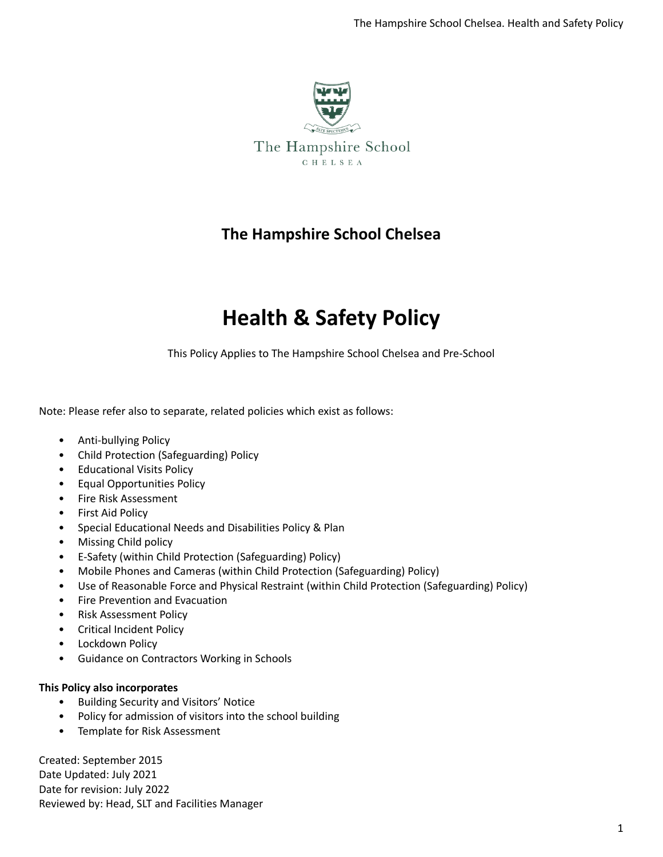

## **The Hampshire School Chelsea**

# **Health & Safety Policy**

This Policy Applies to The Hampshire School Chelsea and Pre-School

Note: Please refer also to separate, related policies which exist as follows:

- Anti-bullying Policy
- Child Protection (Safeguarding) Policy
- Educational Visits Policy
- Equal Opportunities Policy
- Fire Risk Assessment
- First Aid Policy
- Special Educational Needs and Disabilities Policy & Plan
- Missing Child policy
- E-Safety (within Child Protection (Safeguarding) Policy)
- Mobile Phones and Cameras (within Child Protection (Safeguarding) Policy)
- Use of Reasonable Force and Physical Restraint (within Child Protection (Safeguarding) Policy)
- Fire Prevention and Evacuation
- Risk Assessment Policy
- Critical Incident Policy
- Lockdown Policy
- Guidance on Contractors Working in Schools

### **This Policy also incorporates**

- Building Security and Visitors' Notice
- Policy for admission of visitors into the school building
- Template for Risk Assessment

Created: September 2015 Date Updated: July 2021 Date for revision: July 2022 Reviewed by: Head, SLT and Facilities Manager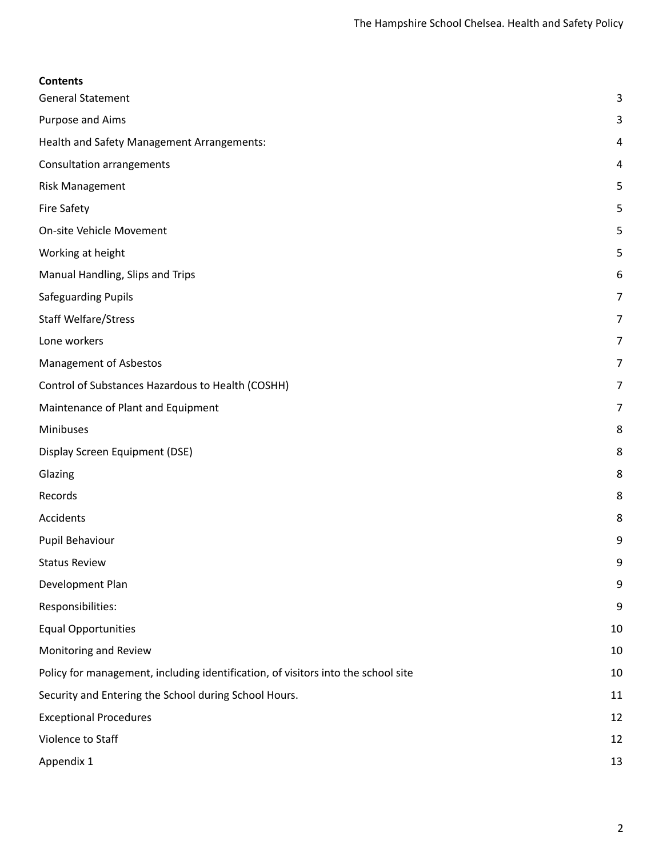| <b>Contents</b>                                                                   |                |
|-----------------------------------------------------------------------------------|----------------|
| <b>General Statement</b>                                                          | 3              |
| Purpose and Aims                                                                  | 3              |
| Health and Safety Management Arrangements:                                        | 4              |
| <b>Consultation arrangements</b>                                                  | 4              |
| <b>Risk Management</b>                                                            | 5              |
| <b>Fire Safety</b>                                                                | 5              |
| On-site Vehicle Movement                                                          | 5              |
| Working at height                                                                 | 5              |
| Manual Handling, Slips and Trips                                                  | 6              |
| Safeguarding Pupils                                                               | $\overline{7}$ |
| <b>Staff Welfare/Stress</b>                                                       | 7              |
| Lone workers                                                                      | 7              |
| <b>Management of Asbestos</b>                                                     | 7              |
| Control of Substances Hazardous to Health (COSHH)                                 | 7              |
| Maintenance of Plant and Equipment                                                | 7              |
| Minibuses                                                                         | 8              |
| Display Screen Equipment (DSE)                                                    | 8              |
| Glazing                                                                           | 8              |
| Records                                                                           | 8              |
| Accidents                                                                         | 8              |
| Pupil Behaviour                                                                   | 9              |
| <b>Status Review</b>                                                              | 9              |
| Development Plan                                                                  | 9              |
| Responsibilities:                                                                 | 9              |
| <b>Equal Opportunities</b>                                                        | 10             |
| Monitoring and Review                                                             | 10             |
| Policy for management, including identification, of visitors into the school site | 10             |
| Security and Entering the School during School Hours.                             | 11             |
| <b>Exceptional Procedures</b>                                                     | 12             |
| Violence to Staff                                                                 | 12             |
| Appendix 1                                                                        | 13             |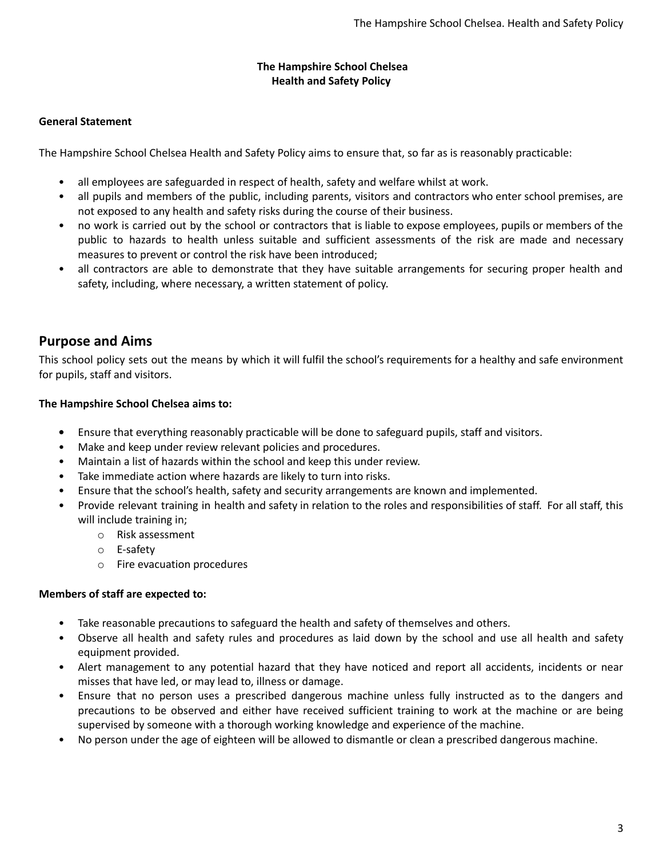### **The Hampshire School Chelsea Health and Safety Policy**

### <span id="page-2-0"></span>**General Statement**

The Hampshire School Chelsea Health and Safety Policy aims to ensure that, so far as is reasonably practicable:

- all employees are safeguarded in respect of health, safety and welfare whilst at work.
- all pupils and members of the public, including parents, visitors and contractors who enter school premises, are not exposed to any health and safety risks during the course of their business.
- no work is carried out by the school or contractors that is liable to expose employees, pupils or members of the public to hazards to health unless suitable and sufficient assessments of the risk are made and necessary measures to prevent or control the risk have been introduced;
- all contractors are able to demonstrate that they have suitable arrangements for securing proper health and safety, including, where necessary, a written statement of policy.

### <span id="page-2-1"></span>**Purpose and Aims**

This school policy sets out the means by which it will fulfil the school's requirements for a healthy and safe environment for pupils, staff and visitors.

### **The Hampshire School Chelsea aims to:**

- **•** Ensure that everything reasonably practicable will be done to safeguard pupils, staff and visitors.
- Make and keep under review relevant policies and procedures.
- Maintain a list of hazards within the school and keep this under review.
- Take immediate action where hazards are likely to turn into risks.
- Ensure that the school's health, safety and security arrangements are known and implemented.
- Provide relevant training in health and safety in relation to the roles and responsibilities of staff. For all staff, this will include training in;
	- o Risk assessment
	- o E-safety
	- o Fire evacuation procedures

### **Members of staff are expected to:**

- Take reasonable precautions to safeguard the health and safety of themselves and others.
- Observe all health and safety rules and procedures as laid down by the school and use all health and safety equipment provided.
- Alert management to any potential hazard that they have noticed and report all accidents, incidents or near misses that have led, or may lead to, illness or damage.
- Ensure that no person uses a prescribed dangerous machine unless fully instructed as to the dangers and precautions to be observed and either have received sufficient training to work at the machine or are being supervised by someone with a thorough working knowledge and experience of the machine.
- No person under the age of eighteen will be allowed to dismantle or clean a prescribed dangerous machine.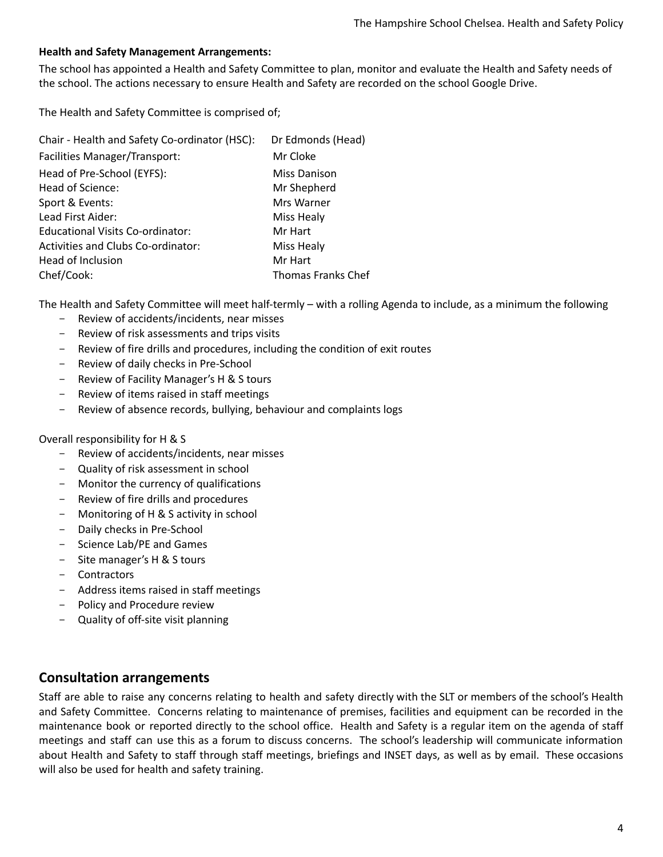### <span id="page-3-0"></span>**Health and Safety Management Arrangements:**

The school has appointed a Health and Safety Committee to plan, monitor and evaluate the Health and Safety needs of the school. The actions necessary to ensure Health and Safety are recorded on the school Google Drive.

The Health and Safety Committee is comprised of;

| Chair - Health and Safety Co-ordinator (HSC): | Dr Edmonds (Head)  |
|-----------------------------------------------|--------------------|
| Facilities Manager/Transport:                 | Mr Cloke           |
| Head of Pre-School (EYFS):                    | Miss Danison       |
| Head of Science:                              | Mr Shepherd        |
| Sport & Events:                               | Mrs Warner         |
| Lead First Aider:                             | Miss Healy         |
| Educational Visits Co-ordinator:              | Mr Hart            |
| Activities and Clubs Co-ordinator:            | Miss Healy         |
| Head of Inclusion                             | Mr Hart            |
| Chef/Cook:                                    | Thomas Franks Chef |

The Health and Safety Committee will meet half-termly – with a rolling Agenda to include, as a minimum the following

- Review of accidents/incidents, near misses
- Review of risk assessments and trips visits
- Review of fire drills and procedures, including the condition of exit routes
- Review of daily checks in Pre-School
- Review of Facility Manager's H & S tours
- Review of items raised in staff meetings
- Review of absence records, bullying, behaviour and complaints logs

### Overall responsibility for H & S

- Review of accidents/incidents, near misses
- Quality of risk assessment in school
- Monitor the currency of qualifications
- Review of fire drills and procedures
- Monitoring of H & S activity in school
- Daily checks in Pre-School
- Science Lab/PE and Games
- Site manager's H & S tours
- **Contractors**
- Address items raised in staff meetings
- Policy and Procedure review
- Quality of off-site visit planning

### <span id="page-3-1"></span>**Consultation arrangements**

Staff are able to raise any concerns relating to health and safety directly with the SLT or members of the school's Health and Safety Committee. Concerns relating to maintenance of premises, facilities and equipment can be recorded in the maintenance book or reported directly to the school office. Health and Safety is a regular item on the agenda of staff meetings and staff can use this as a forum to discuss concerns. The school's leadership will communicate information about Health and Safety to staff through staff meetings, briefings and INSET days, as well as by email. These occasions will also be used for health and safety training.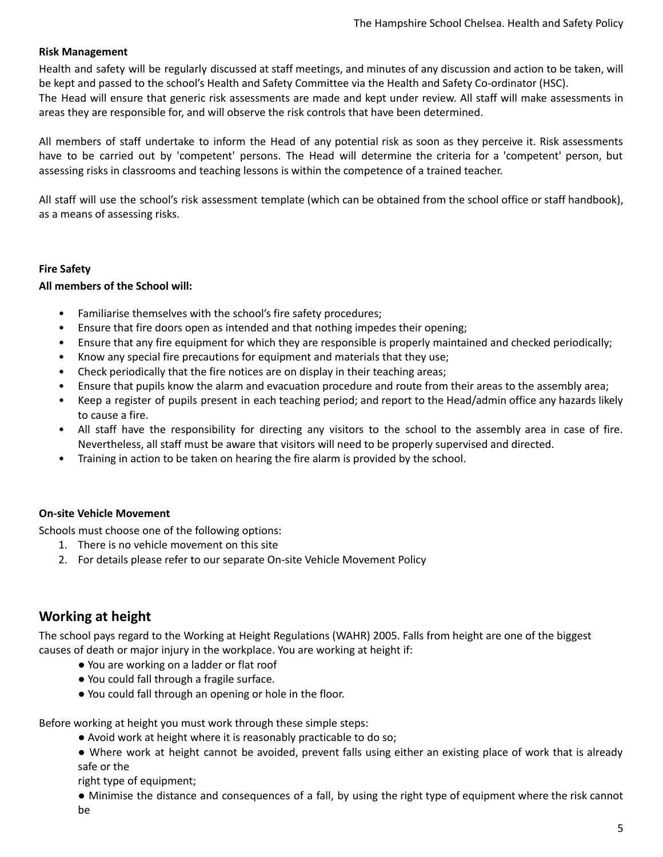### <span id="page-4-0"></span>**Risk Management**

Health and safety will be regularly discussed at staff meetings, and minutes of any discussion and action to be taken, will be kept and passed to the school's Health and Safety Committee via the Health and Safety Co-ordinator (HSC).

The Head will ensure that generic risk assessments are made and kept under review. All staff will make assessments in areas they are responsible for, and will observe the risk controls that have been determined.

All members of staff undertake to inform the Head of any potential risk as soon as they perceive it. Risk assessments have to be carried out by 'competent' persons. The Head will determine the criteria for a 'competent' person, but assessing risks in classrooms and teaching lessons is within the competence of a trained teacher.

All staff will use the school's risk assessment template (which can be obtained from the school office or staff handbook), as a means of assessing risks.

### <span id="page-4-1"></span>**Fire Safety**

### **All members of the School will:**

- Familiarise themselves with the school's fire safety procedures;
- Ensure that fire doors open as intended and that nothing impedes their opening;
- Ensure that any fire equipment for which they are responsible is properly maintained and checked periodically;
- Know any special fire precautions for equipment and materials that they use;
- Check periodically that the fire notices are on display in their teaching areas;
- Ensure that pupils know the alarm and evacuation procedure and route from their areas to the assembly area;
- Keep a register of pupils present in each teaching period; and report to the Head/admin office any hazards likely to cause a fire.
- All staff have the responsibility for directing any visitors to the school to the assembly area in case of fire. Nevertheless, all staff must be aware that visitors will need to be properly supervised and directed.
- Training in action to be taken on hearing the fire alarm is provided by the school.

### <span id="page-4-2"></span>**On-site Vehicle Movement**

Schools must choose one of the following options:

- 1. There is no vehicle movement on this site
- 2. For details please refer to our separate On-site Vehicle Movement Policy

### <span id="page-4-3"></span>**Working at height**

The school pays regard to the Working at Height Regulations (WAHR) 2005. Falls from height are one of the biggest causes of death or major injury in the workplace. You are working at height if:

- You are working on a ladder or flat roof
- You could fall through a fragile surface.
- You could fall through an opening or hole in the floor.

### Before working at height you must work through these simple steps:

- Avoid work at height where it is reasonably practicable to do so;
- Where work at height cannot be avoided, prevent falls using either an existing place of work that is already safe or the

right type of equipment;

● Minimise the distance and consequences of a fall, by using the right type of equipment where the risk cannot be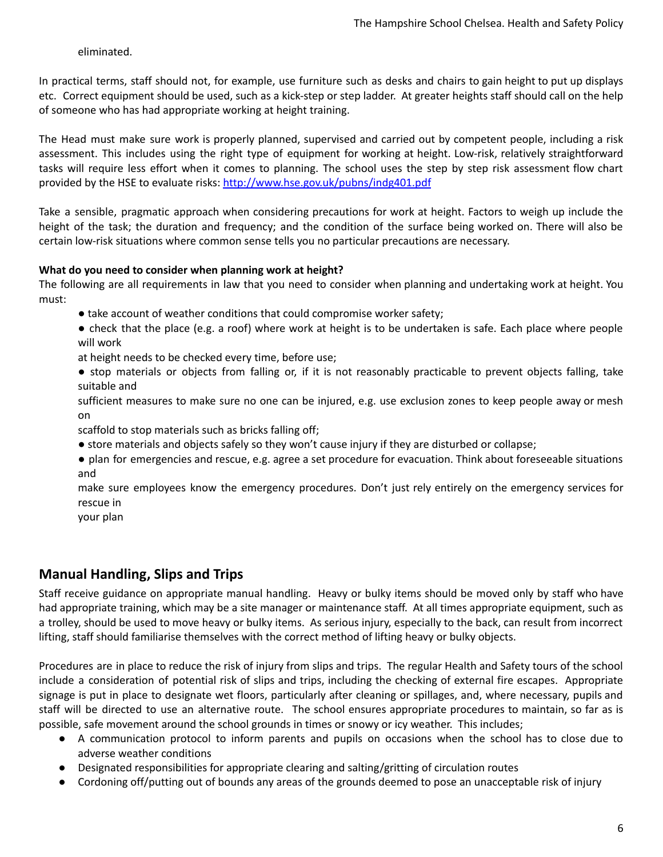eliminated.

In practical terms, staff should not, for example, use furniture such as desks and chairs to gain height to put up displays etc. Correct equipment should be used, such as a kick-step or step ladder. At greater heights staff should call on the help of someone who has had appropriate working at height training.

The Head must make sure work is properly planned, supervised and carried out by competent people, including a risk assessment. This includes using the right type of equipment for working at height. Low-risk, relatively straightforward tasks will require less effort when it comes to planning. The school uses the step by step risk assessment flow chart provided by the HSE to evaluate risks: <http://www.hse.gov.uk/pubns/indg401.pdf>

Take a sensible, pragmatic approach when considering precautions for work at height. Factors to weigh up include the height of the task; the duration and frequency; and the condition of the surface being worked on. There will also be certain low-risk situations where common sense tells you no particular precautions are necessary.

### **What do you need to consider when planning work at height?**

The following are all requirements in law that you need to consider when planning and undertaking work at height. You must:

- take account of weather conditions that could compromise worker safety;
- check that the place (e.g. a roof) where work at height is to be undertaken is safe. Each place where people will work
- at height needs to be checked every time, before use;
- stop materials or objects from falling or, if it is not reasonably practicable to prevent objects falling, take suitable and

sufficient measures to make sure no one can be injured, e.g. use exclusion zones to keep people away or mesh on

scaffold to stop materials such as bricks falling off;

- store materials and objects safely so they won't cause injury if they are disturbed or collapse;
- plan for emergencies and rescue, e.g. agree a set procedure for evacuation. Think about foreseeable situations and

make sure employees know the emergency procedures. Don't just rely entirely on the emergency services for rescue in

your plan

### <span id="page-5-0"></span>**Manual Handling, Slips and Trips**

Staff receive guidance on appropriate manual handling. Heavy or bulky items should be moved only by staff who have had appropriate training, which may be a site manager or maintenance staff. At all times appropriate equipment, such as a trolley, should be used to move heavy or bulky items. As serious injury, especially to the back, can result from incorrect lifting, staff should familiarise themselves with the correct method of lifting heavy or bulky objects.

Procedures are in place to reduce the risk of injury from slips and trips. The regular Health and Safety tours of the school include a consideration of potential risk of slips and trips, including the checking of external fire escapes. Appropriate signage is put in place to designate wet floors, particularly after cleaning or spillages, and, where necessary, pupils and staff will be directed to use an alternative route. The school ensures appropriate procedures to maintain, so far as is possible, safe movement around the school grounds in times or snowy or icy weather. This includes;

- A communication protocol to inform parents and pupils on occasions when the school has to close due to adverse weather conditions
- Designated responsibilities for appropriate clearing and salting/gritting of circulation routes
- Cordoning off/putting out of bounds any areas of the grounds deemed to pose an unacceptable risk of injury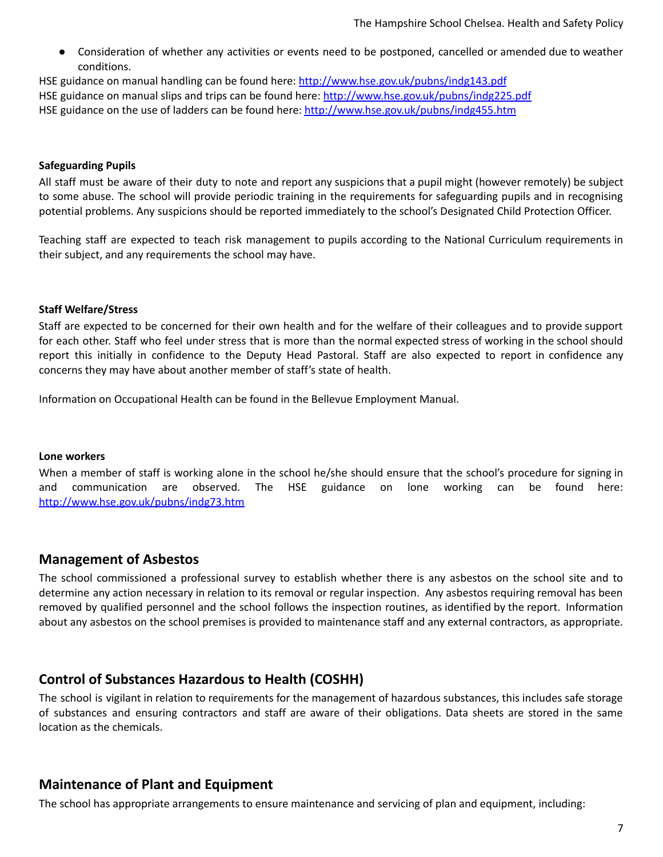Consideration of whether any activities or events need to be postponed, cancelled or amended due to weather conditions.

HSE guidance on manual handling can be found here: <http://www.hse.gov.uk/pubns/indg143.pdf> HSE guidance on manual slips and trips can be found here: <http://www.hse.gov.uk/pubns/indg225.pdf> HSE guidance on the use of ladders can be found here: <http://www.hse.gov.uk/pubns/indg455.htm>

### <span id="page-6-0"></span>**Safeguarding Pupils**

All staff must be aware of their duty to note and report any suspicions that a pupil might (however remotely) be subject to some abuse. The school will provide periodic training in the requirements for safeguarding pupils and in recognising potential problems. Any suspicions should be reported immediately to the school's Designated Child Protection Officer.

Teaching staff are expected to teach risk management to pupils according to the National Curriculum requirements in their subject, and any requirements the school may have.

### <span id="page-6-1"></span>**Staff Welfare/Stress**

Staff are expected to be concerned for their own health and for the welfare of their colleagues and to provide support for each other. Staff who feel under stress that is more than the normal expected stress of working in the school should report this initially in confidence to the Deputy Head Pastoral. Staff are also expected to report in confidence any concerns they may have about another member of staff's state of health.

Information on Occupational Health can be found in the Bellevue Employment Manual.

#### <span id="page-6-2"></span>**Lone workers**

When a member of staff is working alone in the school he/she should ensure that the school's procedure for signing in and communication are observed. The HSE guidance on lone working can be found here: <http://www.hse.gov.uk/pubns/indg73.htm>

### <span id="page-6-3"></span>**Management of Asbestos**

The school commissioned a professional survey to establish whether there is any asbestos on the school site and to determine any action necessary in relation to its removal or regular inspection. Any asbestos requiring removal has been removed by qualified personnel and the school follows the inspection routines, as identified by the report. Information about any asbestos on the school premises is provided to maintenance staff and any external contractors, as appropriate.

### <span id="page-6-4"></span>**Control of Substances Hazardous to Health (COSHH)**

The school is vigilant in relation to requirements for the management of hazardous substances, this includes safe storage of substances and ensuring contractors and staff are aware of their obligations. Data sheets are stored in the same location as the chemicals.

### <span id="page-6-5"></span>**Maintenance of Plant and Equipment**

The school has appropriate arrangements to ensure maintenance and servicing of plan and equipment, including: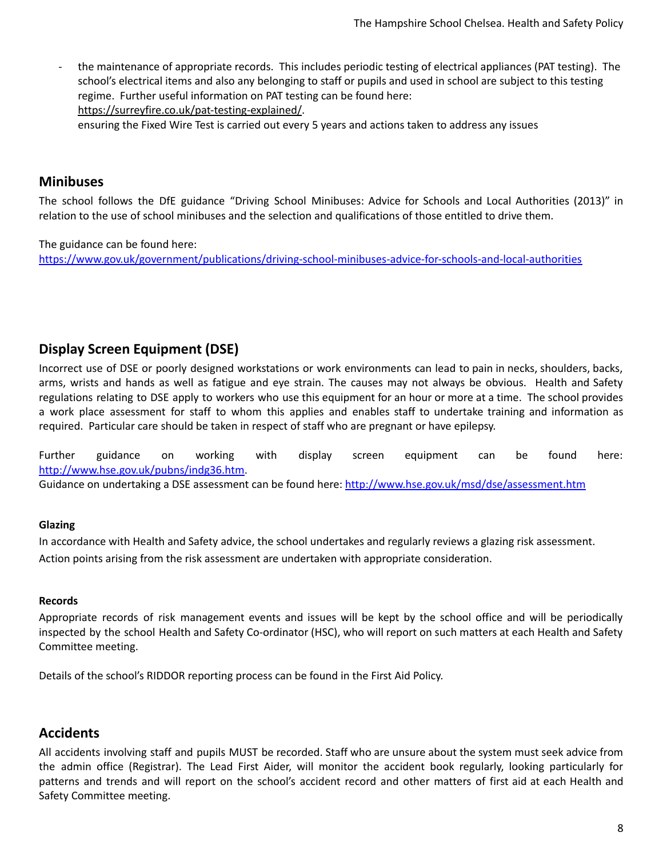- the maintenance of appropriate records. This includes periodic testing of electrical appliances (PAT testing). The school's electrical items and also any belonging to staff or pupils and used in school are subject to this testing regime. Further useful information on PAT testing can be found here: [https://surreyfire.co.uk/pat-testing-explained/.](https://surreyfire.co.uk/pat-testing-explained/) ensuring the Fixed Wire Test is carried out every 5 years and actions taken to address any issues

### <span id="page-7-0"></span>**Minibuses**

The school follows the DfE guidance "Driving School Minibuses: Advice for Schools and Local Authorities (2013)" in relation to the use of school minibuses and the selection and qualifications of those entitled to drive them.

The guidance can be found here: <https://www.gov.uk/government/publications/driving-school-minibuses-advice-for-schools-and-local-authorities>

### <span id="page-7-1"></span>**Display Screen Equipment (DSE)**

Incorrect use of DSE or poorly designed workstations or work environments can lead to pain in necks, shoulders, backs, arms, wrists and hands as well as fatigue and eye strain. The causes may not always be obvious. Health and Safety regulations relating to DSE apply to workers who use this equipment for an hour or more at a time. The school provides a work place assessment for staff to whom this applies and enables staff to undertake training and information as required. Particular care should be taken in respect of staff who are pregnant or have epilepsy.

Further guidance on working with display screen equipment can be found here: [http://www.hse.gov.uk/pubns/indg36.htm.](http://www.hse.gov.uk/pubns/indg36.htm)

<span id="page-7-2"></span>Guidance on undertaking a DSE assessment can be found here: <http://www.hse.gov.uk/msd/dse/assessment.htm>

### **Glazing**

In accordance with Health and Safety advice, the school undertakes and regularly reviews a glazing risk assessment. Action points arising from the risk assessment are undertaken with appropriate consideration.

### <span id="page-7-3"></span>**Records**

Appropriate records of risk management events and issues will be kept by the school office and will be periodically inspected by the school Health and Safety Co-ordinator (HSC), who will report on such matters at each Health and Safety Committee meeting.

<span id="page-7-4"></span>Details of the school's RIDDOR reporting process can be found in the First Aid Policy.

### **Accidents**

All accidents involving staff and pupils MUST be recorded. Staff who are unsure about the system must seek advice from the admin office (Registrar). The Lead First Aider, will monitor the accident book regularly, looking particularly for patterns and trends and will report on the school's accident record and other matters of first aid at each Health and Safety Committee meeting.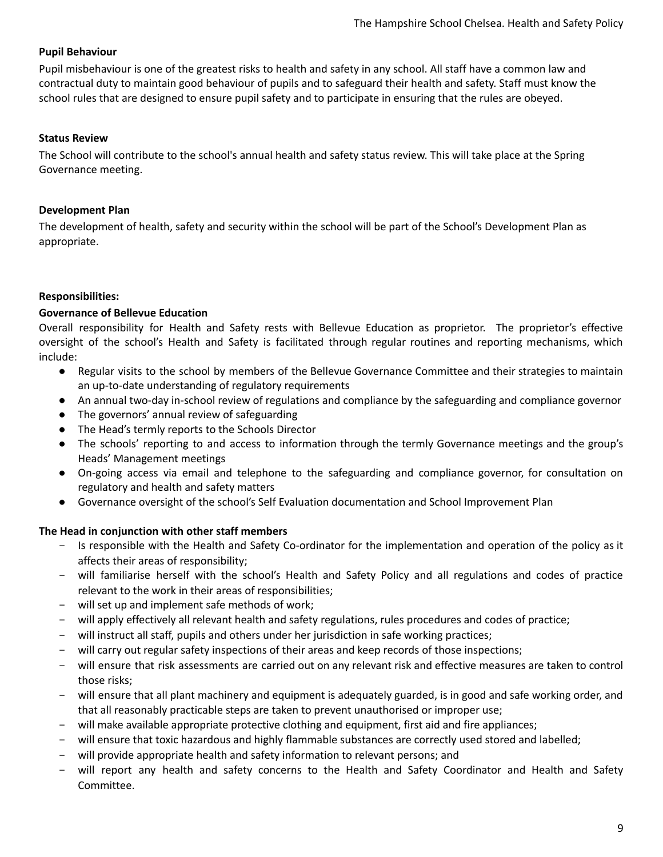### <span id="page-8-0"></span>**Pupil Behaviour**

Pupil misbehaviour is one of the greatest risks to health and safety in any school. All staff have a common law and contractual duty to maintain good behaviour of pupils and to safeguard their health and safety. Staff must know the school rules that are designed to ensure pupil safety and to participate in ensuring that the rules are obeyed.

### <span id="page-8-1"></span>**Status Review**

<span id="page-8-2"></span>The School will contribute to the school's annual health and safety status review. This will take place at the Spring Governance meeting.

### **Development Plan**

The development of health, safety and security within the school will be part of the School's Development Plan as appropriate.

### <span id="page-8-3"></span>**Responsibilities:**

### **Governance of Bellevue Education**

Overall responsibility for Health and Safety rests with Bellevue Education as proprietor. The proprietor's effective oversight of the school's Health and Safety is facilitated through regular routines and reporting mechanisms, which include:

- Regular visits to the school by members of the Bellevue Governance Committee and their strategies to maintain an up-to-date understanding of regulatory requirements
- An annual two-day in-school review of regulations and compliance by the safeguarding and compliance governor
- The governors' annual review of safeguarding
- The Head's termly reports to the Schools Director
- The schools' reporting to and access to information through the termly Governance meetings and the group's Heads' Management meetings
- On-going access via email and telephone to the safeguarding and compliance governor, for consultation on regulatory and health and safety matters
- Governance oversight of the school's Self Evaluation documentation and School Improvement Plan

### **The Head in conjunction with other staff members**

- Is responsible with the Health and Safety Co-ordinator for the implementation and operation of the policy as it affects their areas of responsibility;
- will familiarise herself with the school's Health and Safety Policy and all regulations and codes of practice relevant to the work in their areas of responsibilities;
- will set up and implement safe methods of work;
- will apply effectively all relevant health and safety regulations, rules procedures and codes of practice;
- will instruct all staff, pupils and others under her jurisdiction in safe working practices;
- will carry out regular safety inspections of their areas and keep records of those inspections;
- will ensure that risk assessments are carried out on any relevant risk and effective measures are taken to control those risks;
- will ensure that all plant machinery and equipment is adequately guarded, is in good and safe working order, and that all reasonably practicable steps are taken to prevent unauthorised or improper use;
- will make available appropriate protective clothing and equipment, first aid and fire appliances;
- will ensure that toxic hazardous and highly flammable substances are correctly used stored and labelled;
- will provide appropriate health and safety information to relevant persons; and
- will report any health and safety concerns to the Health and Safety Coordinator and Health and Safety Committee.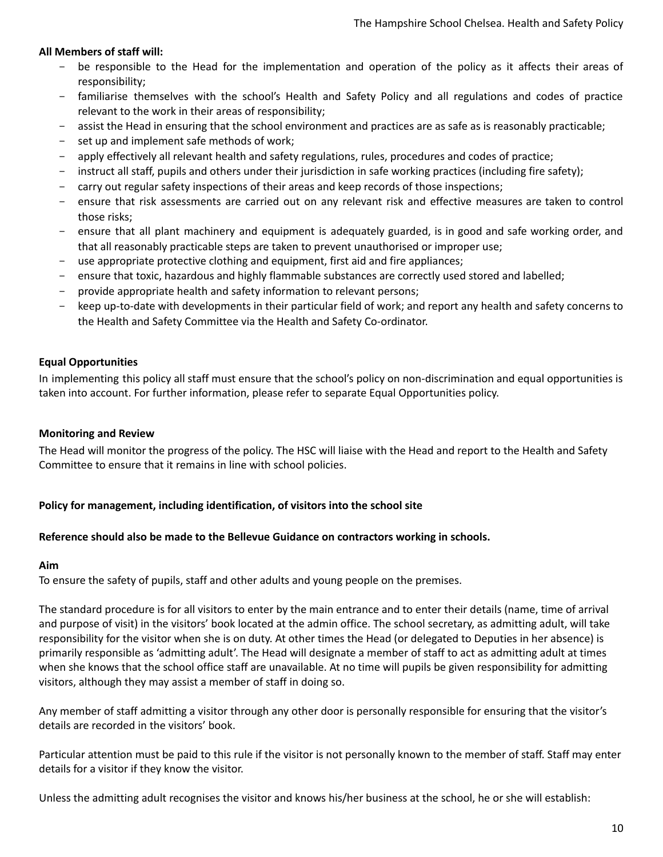### **All Members of staff will:**

- be responsible to the Head for the implementation and operation of the policy as it affects their areas of responsibility;
- familiarise themselves with the school's Health and Safety Policy and all regulations and codes of practice relevant to the work in their areas of responsibility;
- assist the Head in ensuring that the school environment and practices are as safe as is reasonably practicable;
- set up and implement safe methods of work;
- apply effectively all relevant health and safety regulations, rules, procedures and codes of practice;
- instruct all staff, pupils and others under their jurisdiction in safe working practices (including fire safety);
- carry out regular safety inspections of their areas and keep records of those inspections;
- ensure that risk assessments are carried out on any relevant risk and effective measures are taken to control those risks;
- ensure that all plant machinery and equipment is adequately guarded, is in good and safe working order, and that all reasonably practicable steps are taken to prevent unauthorised or improper use;
- use appropriate protective clothing and equipment, first aid and fire appliances;
- ensure that toxic, hazardous and highly flammable substances are correctly used stored and labelled;
- provide appropriate health and safety information to relevant persons;
- keep up-to-date with developments in their particular field of work; and report any health and safety concerns to the Health and Safety Committee via the Health and Safety Co-ordinator.

### <span id="page-9-0"></span>**Equal Opportunities**

<span id="page-9-1"></span>In implementing this policy all staff must ensure that the school's policy on non-discrimination and equal opportunities is taken into account. For further information, please refer to separate Equal Opportunities policy.

#### **Monitoring and Review**

<span id="page-9-2"></span>The Head will monitor the progress of the policy. The HSC will liaise with the Head and report to the Health and Safety Committee to ensure that it remains in line with school policies.

#### **Policy for management, including identification, of visitors into the school site**

#### **Reference should also be made to the Bellevue Guidance on contractors working in schools.**

#### **Aim**

To ensure the safety of pupils, staff and other adults and young people on the premises.

The standard procedure is for all visitors to enter by the main entrance and to enter their details (name, time of arrival and purpose of visit) in the visitors' book located at the admin office. The school secretary, as admitting adult, will take responsibility for the visitor when she is on duty. At other times the Head (or delegated to Deputies in her absence) is primarily responsible as 'admitting adult'. The Head will designate a member of staff to act as admitting adult at times when she knows that the school office staff are unavailable. At no time will pupils be given responsibility for admitting visitors, although they may assist a member of staff in doing so.

Any member of staff admitting a visitor through any other door is personally responsible for ensuring that the visitor's details are recorded in the visitors' book.

Particular attention must be paid to this rule if the visitor is not personally known to the member of staff. Staff may enter details for a visitor if they know the visitor.

Unless the admitting adult recognises the visitor and knows his/her business at the school, he or she will establish: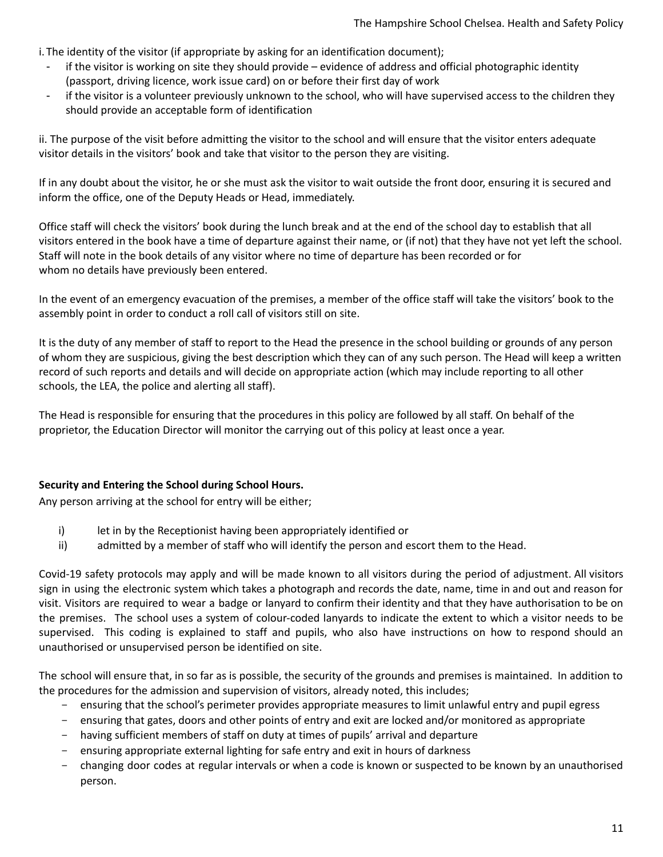i. The identity of the visitor (if appropriate by asking for an identification document);

- if the visitor is working on site they should provide evidence of address and official photographic identity (passport, driving licence, work issue card) on or before their first day of work
- if the visitor is a volunteer previously unknown to the school, who will have supervised access to the children they should provide an acceptable form of identification

ii. The purpose of the visit before admitting the visitor to the school and will ensure that the visitor enters adequate visitor details in the visitors' book and take that visitor to the person they are visiting.

If in any doubt about the visitor, he or she must ask the visitor to wait outside the front door, ensuring it is secured and inform the office, one of the Deputy Heads or Head, immediately.

Office staff will check the visitors' book during the lunch break and at the end of the school day to establish that all visitors entered in the book have a time of departure against their name, or (if not) that they have not yet left the school. Staff will note in the book details of any visitor where no time of departure has been recorded or for whom no details have previously been entered.

In the event of an emergency evacuation of the premises, a member of the office staff will take the visitors' book to the assembly point in order to conduct a roll call of visitors still on site.

It is the duty of any member of staff to report to the Head the presence in the school building or grounds of any person of whom they are suspicious, giving the best description which they can of any such person. The Head will keep a written record of such reports and details and will decide on appropriate action (which may include reporting to all other schools, the LEA, the police and alerting all staff).

The Head is responsible for ensuring that the procedures in this policy are followed by all staff. On behalf of the proprietor, the Education Director will monitor the carrying out of this policy at least once a year.

### <span id="page-10-0"></span>**Security and Entering the School during School Hours.**

Any person arriving at the school for entry will be either;

- i) let in by the Receptionist having been appropriately identified or
- ii) admitted by a member of staff who will identify the person and escort them to the Head.

Covid-19 safety protocols may apply and will be made known to all visitors during the period of adjustment. All visitors sign in using the electronic system which takes a photograph and records the date, name, time in and out and reason for visit. Visitors are required to wear a badge or lanyard to confirm their identity and that they have authorisation to be on the premises. The school uses a system of colour-coded lanyards to indicate the extent to which a visitor needs to be supervised. This coding is explained to staff and pupils, who also have instructions on how to respond should an unauthorised or unsupervised person be identified on site.

The school will ensure that, in so far as is possible, the security of the grounds and premises is maintained. In addition to the procedures for the admission and supervision of visitors, already noted, this includes;

- ensuring that the school's perimeter provides appropriate measures to limit unlawful entry and pupil egress
- ensuring that gates, doors and other points of entry and exit are locked and/or monitored as appropriate
- having sufficient members of staff on duty at times of pupils' arrival and departure
- ensuring appropriate external lighting for safe entry and exit in hours of darkness
- changing door codes at regular intervals or when a code is known or suspected to be known by an unauthorised person.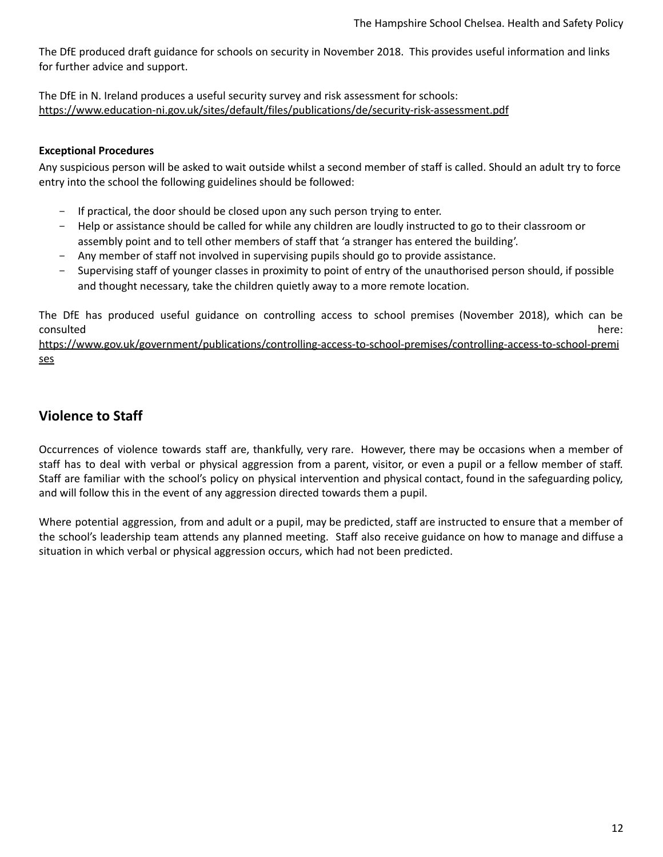The DfE produced draft guidance for schools on security in November 2018. This provides useful information and links for further advice and support.

<span id="page-11-0"></span>The DfE in N. Ireland produces a useful security survey and risk assessment for schools: <https://www.education-ni.gov.uk/sites/default/files/publications/de/security-risk-assessment.pdf>

### **Exceptional Procedures**

Any suspicious person will be asked to wait outside whilst a second member of staff is called. Should an adult try to force entry into the school the following guidelines should be followed:

- If practical, the door should be closed upon any such person trying to enter.
- Help or assistance should be called for while any children are loudly instructed to go to their classroom or assembly point and to tell other members of staff that 'a stranger has entered the building'.
- Any member of staff not involved in supervising pupils should go to provide assistance.
- Supervising staff of younger classes in proximity to point of entry of the unauthorised person should, if possible and thought necessary, take the children quietly away to a more remote location.

The DfE has produced useful guidance on controlling access to school premises (November 2018), which can be consulted here: the consulted here: the consulted here:  $h$  and  $h$  and  $h$  and  $h$  and  $h$  and  $h$  and  $h$  and  $h$  and  $h$  and  $h$  and  $h$  and  $h$  and  $h$  and  $h$  and  $h$  and  $h$  and  $h$  and  $h$  and  $h$  and  $h$  and  $h$  an

[https://www.gov.uk/government/publications/controlling-access-to-school-premises/controlling-access-to-school-premi](https://www.gov.uk/government/publications/controlling-access-to-school-premises/controlling-access-to-school-premises) [ses](https://www.gov.uk/government/publications/controlling-access-to-school-premises/controlling-access-to-school-premises)

### <span id="page-11-1"></span>**Violence to Staff**

Occurrences of violence towards staff are, thankfully, very rare. However, there may be occasions when a member of staff has to deal with verbal or physical aggression from a parent, visitor, or even a pupil or a fellow member of staff. Staff are familiar with the school's policy on physical intervention and physical contact, found in the safeguarding policy, and will follow this in the event of any aggression directed towards them a pupil.

Where potential aggression, from and adult or a pupil, may be predicted, staff are instructed to ensure that a member of the school's leadership team attends any planned meeting. Staff also receive guidance on how to manage and diffuse a situation in which verbal or physical aggression occurs, which had not been predicted.